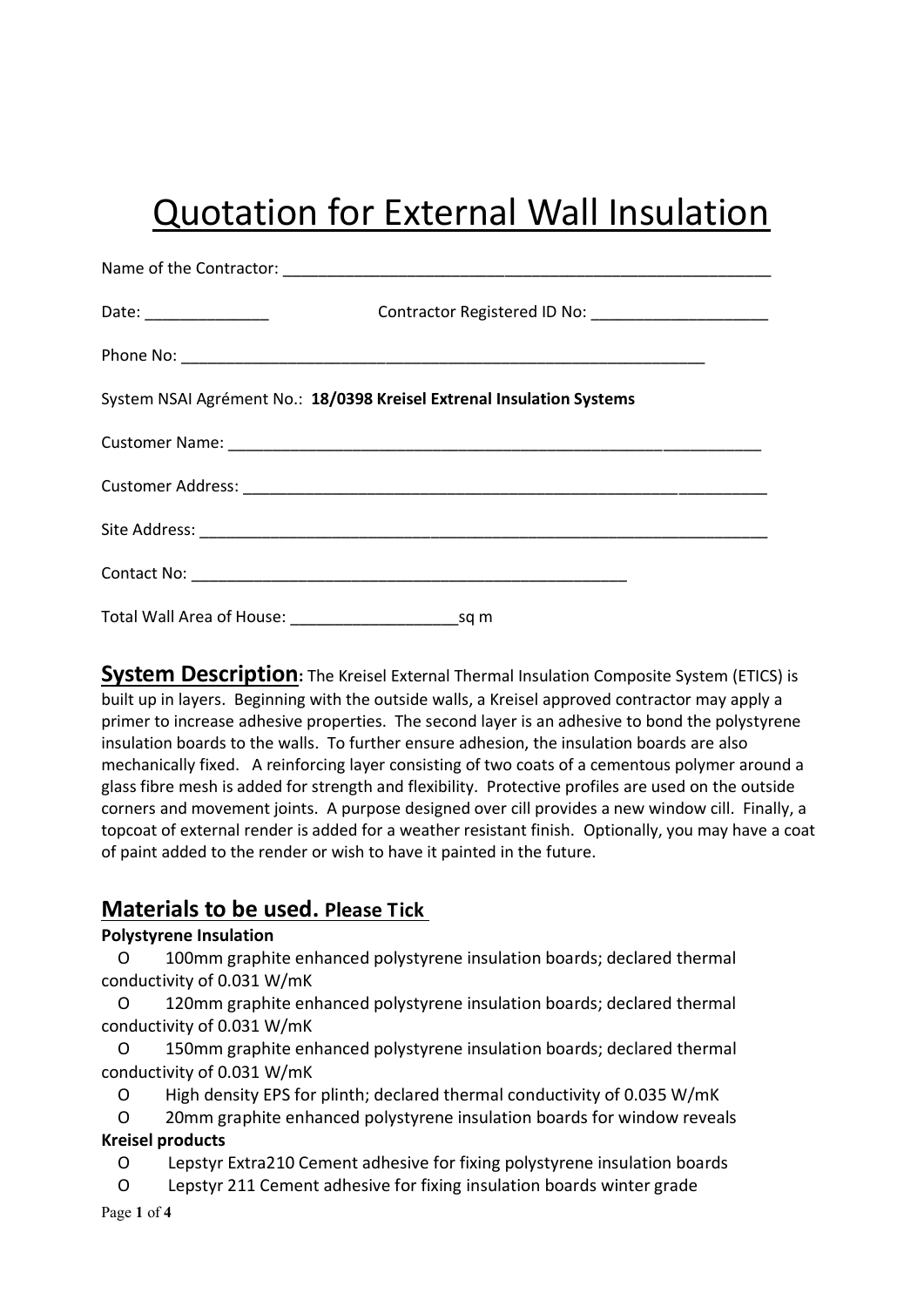# Quotation for External Wall Insulation

| System NSAI Agrément No.: 18/0398 Kreisel Extrenal Insulation Systems |
|-----------------------------------------------------------------------|
|                                                                       |
|                                                                       |
|                                                                       |
|                                                                       |
|                                                                       |

**System Description:** The Kreisel External Thermal Insulation Composite System (ETICS) is built up in layers. Beginning with the outside walls, a Kreisel approved contractor may apply a primer to increase adhesive properties. The second layer is an adhesive to bond the polystyrene insulation boards to the walls. To further ensure adhesion, the insulation boards are also mechanically fixed. A reinforcing layer consisting of two coats of a cementous polymer around a glass fibre mesh is added for strength and flexibility. Protective profiles are used on the outside corners and movement joints. A purpose designed over cill provides a new window cill. Finally, a topcoat of external render is added for a weather resistant finish. Optionally, you may have a coat of paint added to the render or wish to have it painted in the future.

# **Materials to be used. Please Tick**

## **Polystyrene Insulation**

 O 100mm graphite enhanced polystyrene insulation boards; declared thermal conductivity of 0.031 W/mK

 O 120mm graphite enhanced polystyrene insulation boards; declared thermal conductivity of 0.031 W/mK

 O 150mm graphite enhanced polystyrene insulation boards; declared thermal conductivity of 0.031 W/mK

O High density EPS for plinth; declared thermal conductivity of 0.035 W/mK

 O 20mm graphite enhanced polystyrene insulation boards for window reveals **Kreisel products**

- O Lepstyr Extra210 Cement adhesive for fixing polystyrene insulation boards
- O Lepstyr 211 Cement adhesive for fixing insulation boards winter grade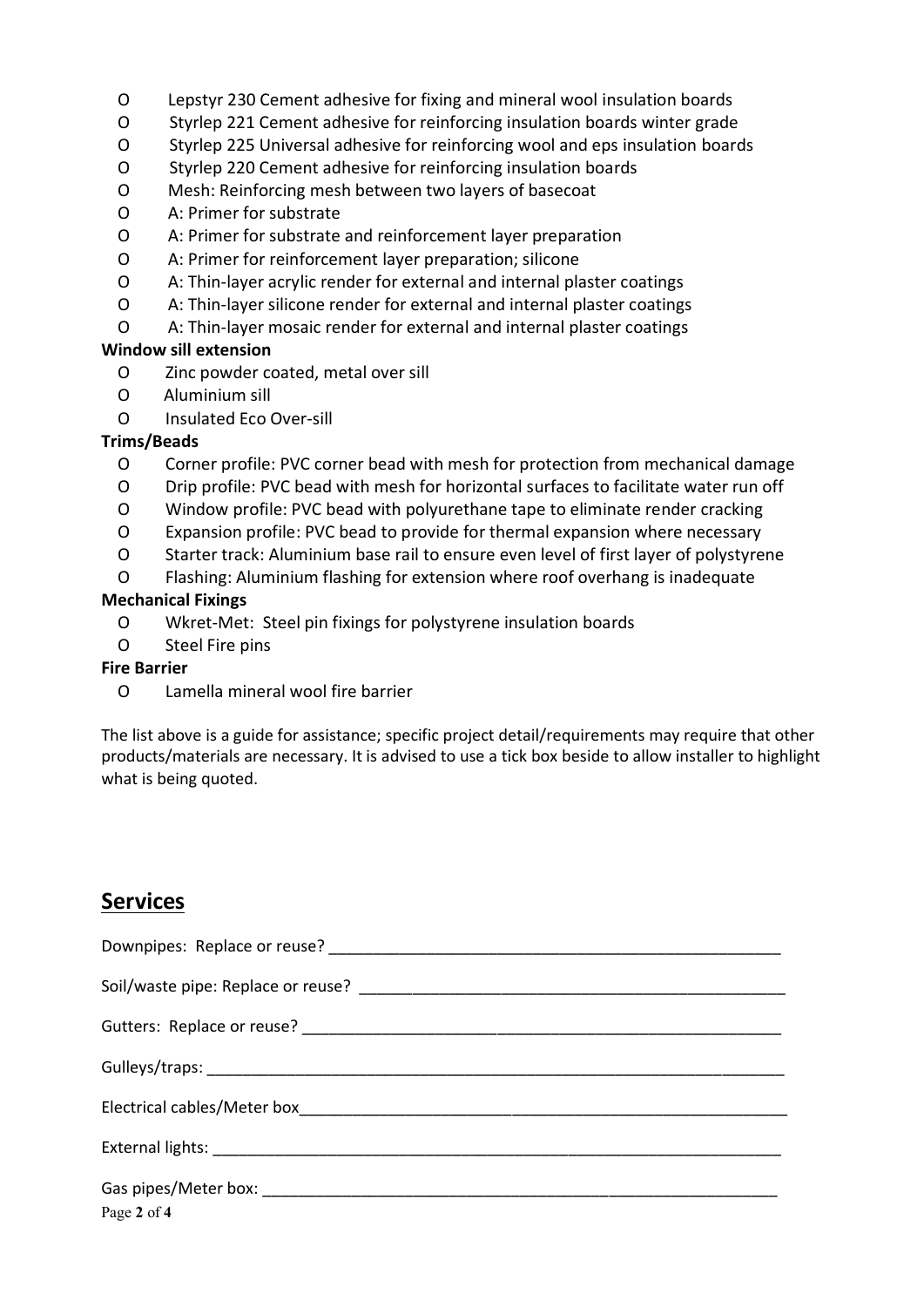- O Lepstyr 230 Cement adhesive for fixing and mineral wool insulation boards
- O Styrlep 221 Cement adhesive for reinforcing insulation boards winter grade
- O Styrlep 225 Universal adhesive for reinforcing wool and eps insulation boards
- O Styrlep 220 Cement adhesive for reinforcing insulation boards
- O Mesh: Reinforcing mesh between two layers of basecoat
- O A: Primer for substrate
- O A: Primer for substrate and reinforcement layer preparation
- O A: Primer for reinforcement layer preparation; silicone
- O A: Thin-layer acrylic render for external and internal plaster coatings
- O A: Thin-layer silicone render for external and internal plaster coatings
- O A: Thin-layer mosaic render for external and internal plaster coatings

#### **Window sill extension**

- O Zinc powder coated, metal over sill
- O Aluminium sill
- O Insulated Eco Over-sill

### **Trims/Beads**

- O Corner profile: PVC corner bead with mesh for protection from mechanical damage
- O Drip profile: PVC bead with mesh for horizontal surfaces to facilitate water run off
- O Window profile: PVC bead with polyurethane tape to eliminate render cracking
- O Expansion profile: PVC bead to provide for thermal expansion where necessary
- O Starter track: Aluminium base rail to ensure even level of first layer of polystyrene
- O Flashing: Aluminium flashing for extension where roof overhang is inadequate

### **Mechanical Fixings**

- O Wkret-Met: Steel pin fixings for polystyrene insulation boards
- O Steel Fire pins

#### **Fire Barrier**

O Lamella mineral wool fire barrier

The list above is a guide for assistance; specific project detail/requirements may require that other products/materials are necessary. It is advised to use a tick box beside to allow installer to highlight what is being quoted.

# **Services**

| Page 2 of 4 |
|-------------|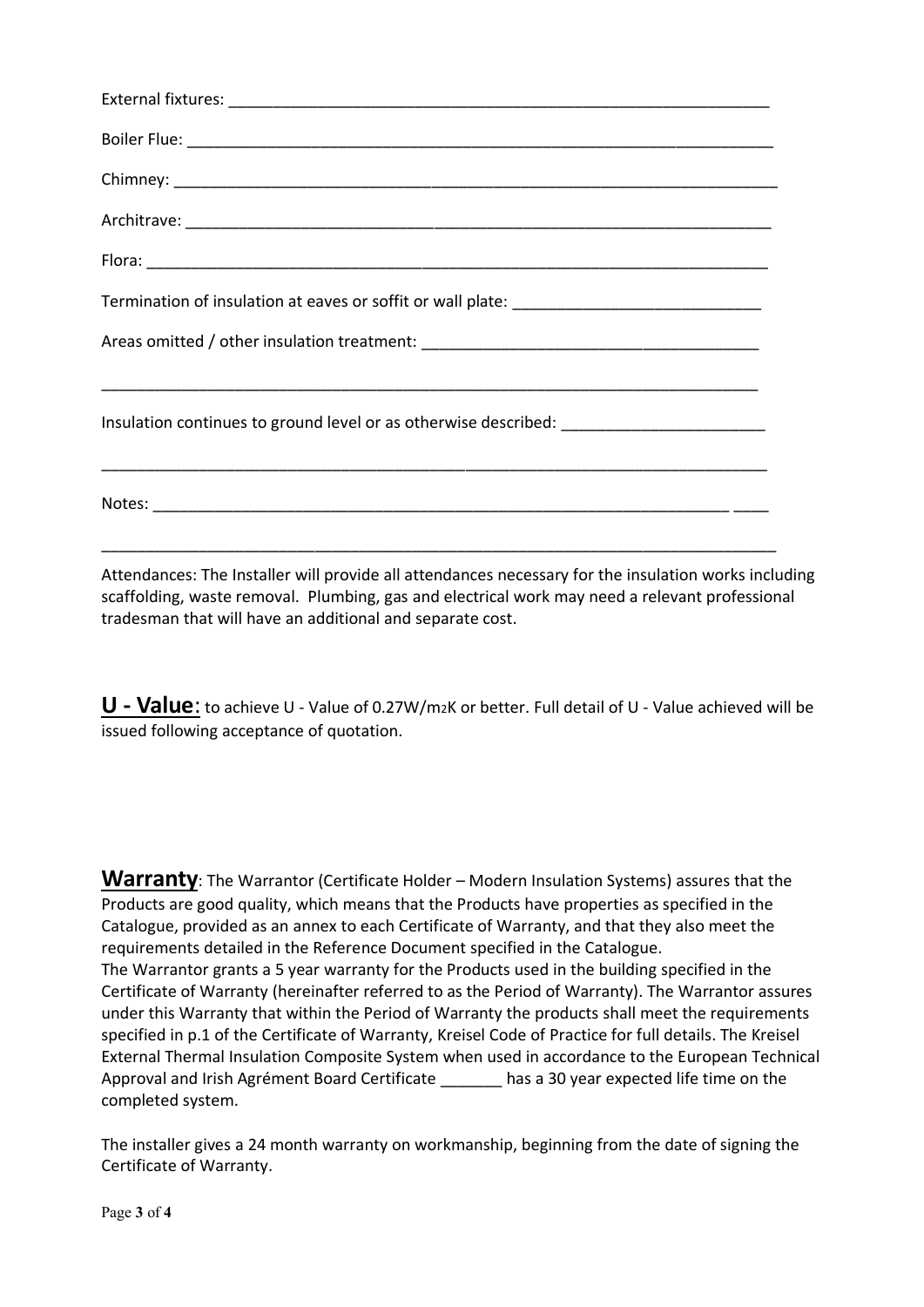| Insulation continues to ground level or as otherwise described: _________________ |
|-----------------------------------------------------------------------------------|
|                                                                                   |

Attendances: The Installer will provide all attendances necessary for the insulation works including scaffolding, waste removal. Plumbing, gas and electrical work may need a relevant professional tradesman that will have an additional and separate cost.

**U - Value**: to achieve U - Value of 0.27W/m2K or better. Full detail of U - Value achieved will be issued following acceptance of quotation.

**Warranty**: The Warrantor (Certificate Holder – Modern Insulation Systems) assures that the Products are good quality, which means that the Products have properties as specified in the Catalogue, provided as an annex to each Certificate of Warranty, and that they also meet the requirements detailed in the Reference Document specified in the Catalogue. The Warrantor grants a 5 year warranty for the Products used in the building specified in the Certificate of Warranty (hereinafter referred to as the Period of Warranty). The Warrantor assures under this Warranty that within the Period of Warranty the products shall meet the requirements specified in p.1 of the Certificate of Warranty, Kreisel Code of Practice for full details. The Kreisel External Thermal Insulation Composite System when used in accordance to the European Technical Approval and Irish Agrément Board Certificate has a 30 year expected life time on the completed system.

The installer gives a 24 month warranty on workmanship, beginning from the date of signing the Certificate of Warranty.